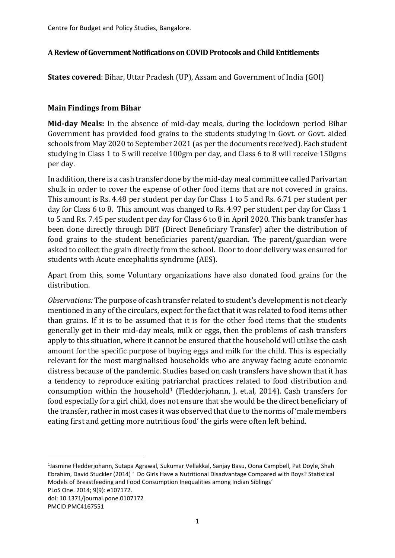Centre for Budget and Policy Studies, Bangalore.

#### **A Review of Government Notificationson COVID Protocols and Child Entitlements**

**States covered**: Bihar, Uttar Pradesh (UP), Assam and Government of India (GOI)

### **Main Findings from Bihar**

**Mid-day Meals:** In the absence of mid-day meals, during the lockdown period Bihar Government has provided food grains to the students studying in Govt. or Govt. aided schools from May 2020 to September 2021 (as per the documents received). Each student studying in Class 1 to 5 will receive 100gm per day, and Class 6 to 8 will receive 150gms per day.

In addition, there is a cash transfer done by the mid-day meal committee called Parivartan shulk in order to cover the expense of other food items that are not covered in grains. This amount is Rs. 4.48 per student per day for Class 1 to 5 and Rs. 6.71 per student per day for Class 6 to 8. This amount was changed to Rs. 4.97 per student per day for Class 1 to 5 and Rs. 7.45 per student per day for Class 6 to 8 in April 2020. This bank transfer has been done directly through DBT (Direct Beneficiary Transfer) after the distribution of food grains to the student beneficiaries parent/guardian. The parent/guardian were asked to collect the grain directly from the school. Door to door delivery was ensured for students with Acute encephalitis syndrome (AES).

Apart from this, some Voluntary organizations have also donated food grains for the distribution.

*Observations:* The purpose of cash transfer related to student's development is not clearly mentioned in any of the circulars, expect for the fact that it was related to food items other than grains. If it is to be assumed that it is for the other food items that the students generally get in their mid-day meals, milk or eggs, then the problems of cash transfers apply to this situation, where it cannot be ensured that the household will utilise the cash amount for the specific purpose of buying eggs and milk for the child. This is especially relevant for the most marginalised households who are anyway facing acute economic distress because of the pandemic. Studies based on cash transfers have shown that it has a tendency to reproduce exiting patriarchal practices related to food distribution and consumption within the household<sup>1</sup> (Fledderjohann, J. et.al, 2014). Cash transfers for food especially for a girl child, does not ensure that she would be the direct beneficiary of the transfer, rather in most cases it was observed that due to the norms of 'male members eating first and getting more nutritious food' the girls were often left behind.

1 Jasmine Fledderjohann, Sutapa Agrawal, Sukumar Vellakkal, Sanjay Basu, Oona Campbell, Pat Doyle, Shah Ebrahim, David Stuckler (2014) ' Do Girls Have a Nutritional Disadvantage Compared with Boys? Statistical Models of Breastfeeding and Food Consumption Inequalities among Indian Siblings'

PMCID:PMC4167551

PLoS One. 2014; 9(9): e107172. doi: 10.1371/journal.pone.0107172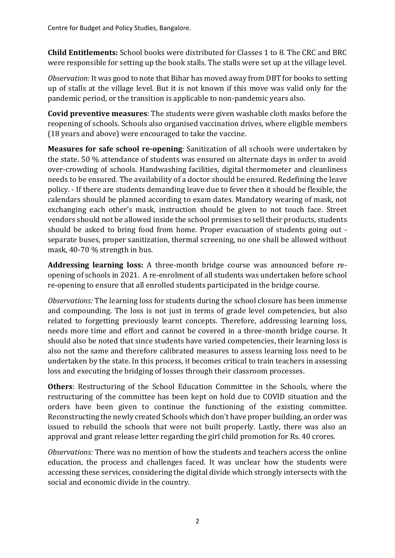**Child Entitlements:** School books were distributed for Classes 1 to 8. The CRC and BRC were responsible for setting up the book stalls. The stalls were set up at the village level.

*Observation:* It was good to note that Bihar has moved away from DBT for books to setting up of stalls at the village level. But it is not known if this move was valid only for the pandemic period, or the transition is applicable to non-pandemic years also.

**Covid preventive measures**: The students were given washable cloth masks before the reopening of schools. Schools also organised vaccination drives, where eligible members (18 years and above) were encouraged to take the vaccine.

**Measures for safe school re-opening**: Sanitization of all schools were undertaken by the state. 50 % attendance of students was ensured on alternate days in order to avoid over-crowding of schools. Handwashing facilities, digital thermometer and cleanliness needs to be ensured. The availability of a doctor should be ensured. Redefining the leave policy. - If there are students demanding leave due to fever then it should be flexible, the calendars should be planned according to exam dates. Mandatory wearing of mask, not exchanging each other's mask, instruction should be given to not touch face. Street vendors should not be allowed inside the school premises to sell their products, students should be asked to bring food from home. Proper evacuation of students going out separate buses, proper sanitization, thermal screening, no one shall be allowed without mask, 40-70 % strength in bus.

**Addressing learning loss:** A three-month bridge course was announced before reopening of schools in 2021. A re-enrolment of all students was undertaken before school re-opening to ensure that all enrolled students participated in the bridge course.

*Observations:* The learning loss for students during the school closure has been immense and compounding. The loss is not just in terms of grade level competencies, but also related to forgetting previously learnt concepts. Therefore, addressing learning loss, needs more time and effort and cannot be covered in a three-month bridge course. It should also be noted that since students have varied competencies, their learning loss is also not the same and therefore calibrated measures to assess learning loss need to be undertaken by the state. In this process, it becomes critical to train teachers in assessing loss and executing the bridging of losses through their classroom processes.

**Others**: Restructuring of the School Education Committee in the Schools, where the restructuring of the committee has been kept on hold due to COVID situation and the orders have been given to continue the functioning of the existing committee. Reconstructing the newly created Schools which don't have proper building, an order was issued to rebuild the schools that were not built properly. Lastly, there was also an approval and grant release letter regarding the girl child promotion for Rs. 40 crores.

*Observations:* There was no mention of how the students and teachers access the online education, the process and challenges faced. It was unclear how the students were accessing these services, considering the digital divide which strongly intersects with the social and economic divide in the country.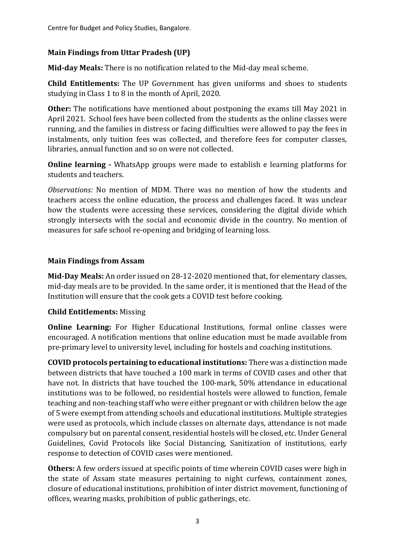Centre for Budget and Policy Studies, Bangalore.

## **Main Findings from Uttar Pradesh (UP)**

**Mid-day Meals:** There is no notification related to the Mid-day meal scheme.

**Child Entitlements:** The UP Government has given uniforms and shoes to students studying in Class 1 to 8 in the month of April, 2020.

**Other:** The notifications have mentioned about postponing the exams till May 2021 in April 2021. School fees have been collected from the students as the online classes were running, and the families in distress or facing difficulties were allowed to pay the fees in instalments, only tuition fees was collected, and therefore fees for computer classes, libraries, annual function and so on were not collected.

**Online learning -** WhatsApp groups were made to establish e learning platforms for students and teachers.

*Observations:* No mention of MDM. There was no mention of how the students and teachers access the online education, the process and challenges faced. It was unclear how the students were accessing these services, considering the digital divide which strongly intersects with the social and economic divide in the country. No mention of measures for safe school re-opening and bridging of learning loss.

### **Main Findings from Assam**

**Mid-Day Meals:** An order issued on 28-12-2020 mentioned that, for elementary classes, mid-day meals are to be provided. In the same order, it is mentioned that the Head of the Institution will ensure that the cook gets a COVID test before cooking.

#### **Child Entitlements:** Missing

**Online Learning:** For Higher Educational Institutions, formal online classes were encouraged. A notification mentions that online education must be made available from pre-primary level to university level, including for hostels and coaching institutions.

**COVID protocols pertaining to educational institutions:** There was a distinction made between districts that have touched a 100 mark in terms of COVID cases and other that have not. In districts that have touched the 100-mark, 50% attendance in educational institutions was to be followed, no residential hostels were allowed to function, female teaching and non-teaching staff who were either pregnant or with children below the age of 5 were exempt from attending schools and educational institutions. Multiple strategies were used as protocols, which include classes on alternate days, attendance is not made compulsory but on parental consent, residential hostels will be closed, etc. Under General Guidelines, Covid Protocols like Social Distancing, Sanitization of institutions, early response to detection of COVID cases were mentioned.

**Others:** A few orders issued at specific points of time wherein COVID cases were high in the state of Assam state measures pertaining to night curfews, containment zones, closure of educational institutions, prohibition of inter district movement, functioning of offices, wearing masks, prohibition of public gatherings, etc.